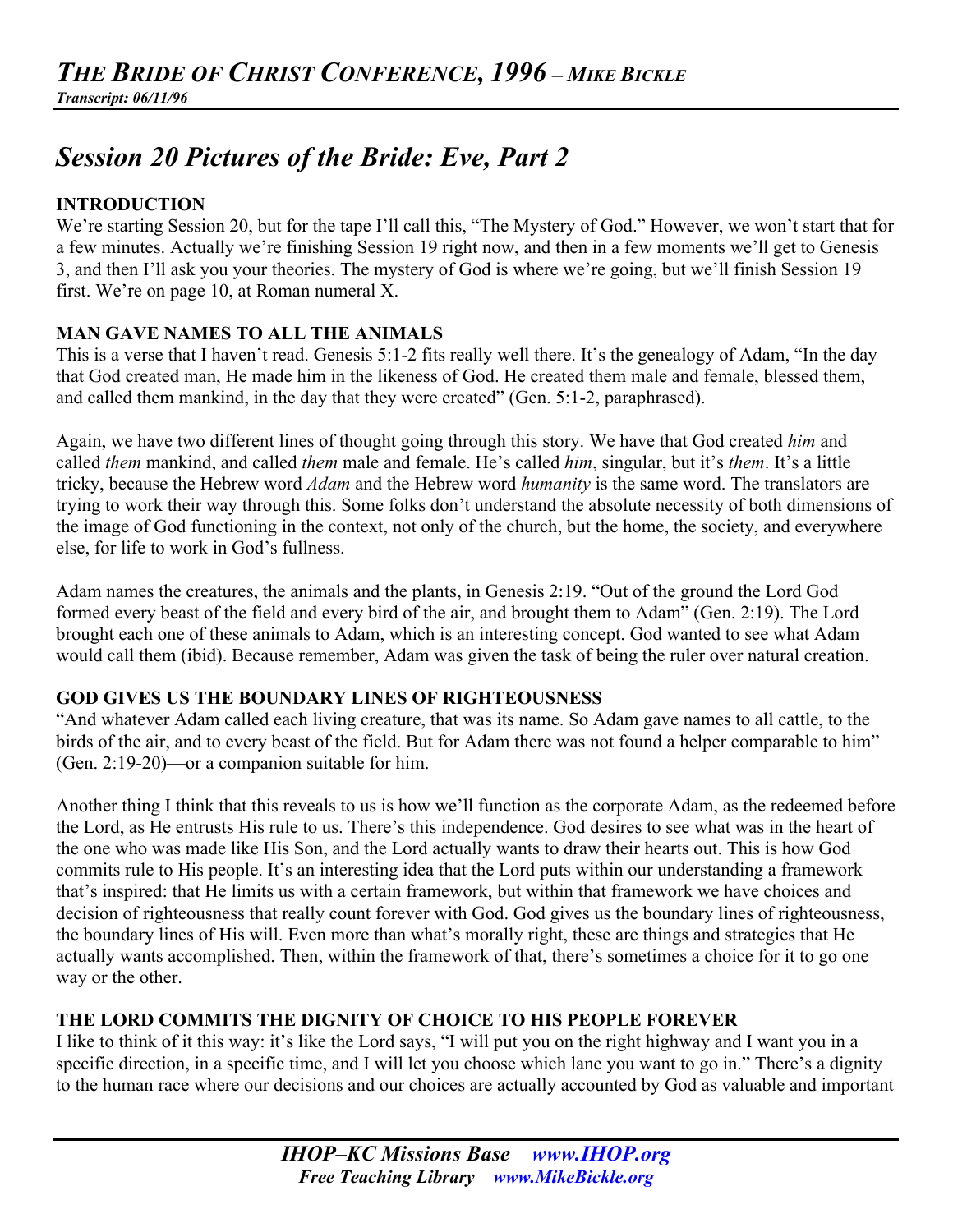# *Session 20 Pictures of the Bride: Eve, Part 2*

## **INTRODUCTION**

We're starting Session 20, but for the tape I'll call this, "The Mystery of God." However, we won't start that for a few minutes. Actually we're finishing Session 19 right now, and then in a few moments we'll get to Genesis 3, and then I'll ask you your theories. The mystery of God is where we're going, but we'll finish Session 19 first. We're on page 10, at Roman numeral X.

#### **MAN GAVE NAMES TO ALL THE ANIMALS**

This is a verse that I haven't read. Genesis 5:1-2 fits really well there. It's the genealogy of Adam, "In the day that God created man, He made him in the likeness of God. He created them male and female, blessed them, and called them mankind, in the day that they were created" (Gen. 5:1-2, paraphrased).

Again, we have two different lines of thought going through this story. We have that God created *him* and called *them* mankind, and called *them* male and female. He's called *him*, singular, but it's *them*. It's a little tricky, because the Hebrew word *Adam* and the Hebrew word *humanity* is the same word. The translators are trying to work their way through this. Some folks don't understand the absolute necessity of both dimensions of the image of God functioning in the context, not only of the church, but the home, the society, and everywhere else, for life to work in God's fullness.

Adam names the creatures, the animals and the plants, in Genesis 2:19. "Out of the ground the Lord God formed every beast of the field and every bird of the air, and brought them to Adam" (Gen. 2:19). The Lord brought each one of these animals to Adam, which is an interesting concept. God wanted to see what Adam would call them (ibid). Because remember, Adam was given the task of being the ruler over natural creation.

#### **GOD GIVES US THE BOUNDARY LINES OF RIGHTEOUSNESS**

"And whatever Adam called each living creature, that was its name. So Adam gave names to all cattle, to the birds of the air, and to every beast of the field. But for Adam there was not found a helper comparable to him" (Gen. 2:19-20)—or a companion suitable for him.

Another thing I think that this reveals to us is how we'll function as the corporate Adam, as the redeemed before the Lord, as He entrusts His rule to us. There's this independence. God desires to see what was in the heart of the one who was made like His Son, and the Lord actually wants to draw their hearts out. This is how God commits rule to His people. It's an interesting idea that the Lord puts within our understanding a framework that's inspired: that He limits us with a certain framework, but within that framework we have choices and decision of righteousness that really count forever with God. God gives us the boundary lines of righteousness, the boundary lines of His will. Even more than what's morally right, these are things and strategies that He actually wants accomplished. Then, within the framework of that, there's sometimes a choice for it to go one way or the other.

## **THE LORD COMMITS THE DIGNITY OF CHOICE TO HIS PEOPLE FOREVER**

I like to think of it this way: it's like the Lord says, "I will put you on the right highway and I want you in a specific direction, in a specific time, and I will let you choose which lane you want to go in." There's a dignity to the human race where our decisions and our choices are actually accounted by God as valuable and important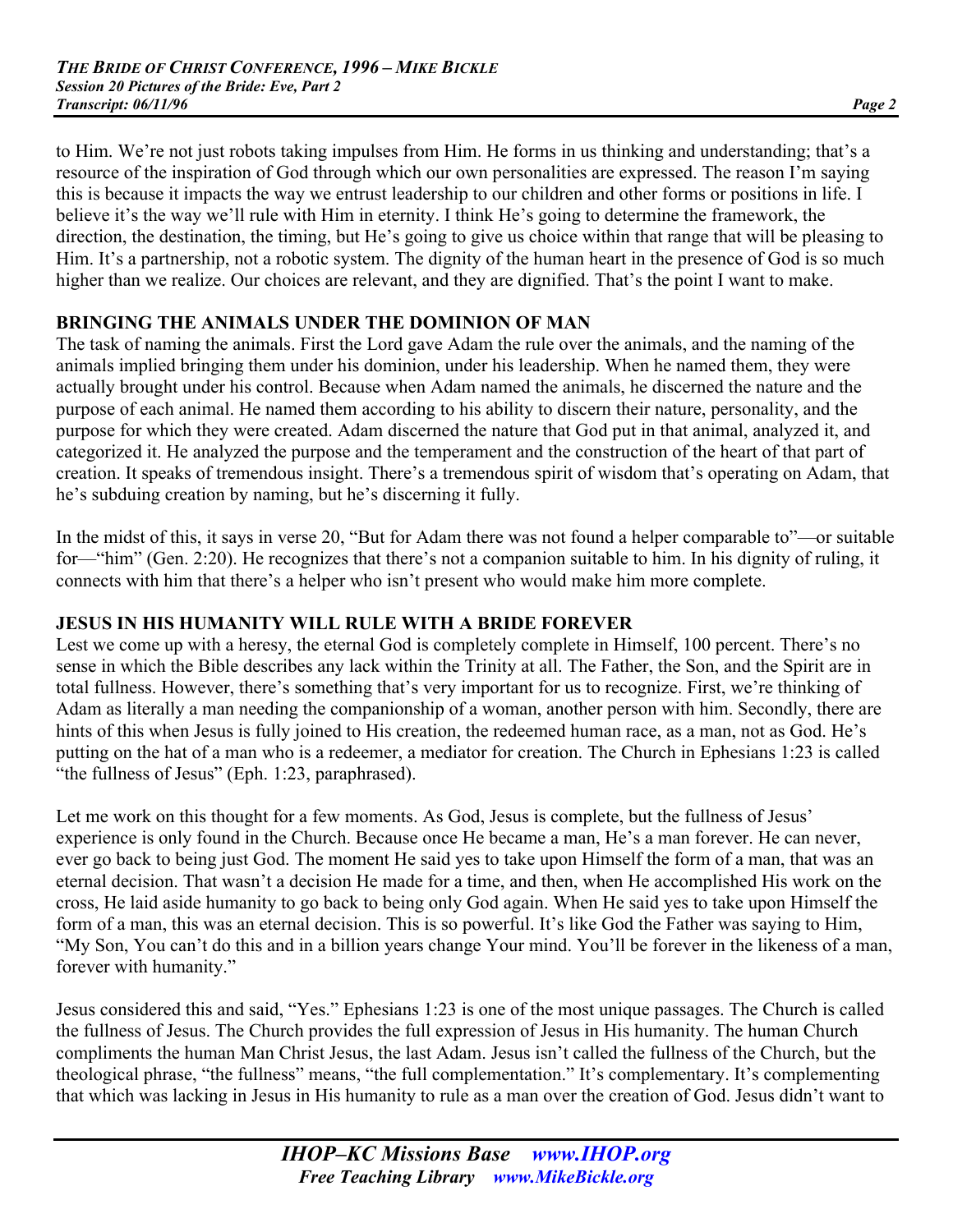to Him. We're not just robots taking impulses from Him. He forms in us thinking and understanding; that's a resource of the inspiration of God through which our own personalities are expressed. The reason I'm saying this is because it impacts the way we entrust leadership to our children and other forms or positions in life. I believe it's the way we'll rule with Him in eternity. I think He's going to determine the framework, the direction, the destination, the timing, but He's going to give us choice within that range that will be pleasing to Him. It's a partnership, not a robotic system. The dignity of the human heart in the presence of God is so much higher than we realize. Our choices are relevant, and they are dignified. That's the point I want to make.

## **BRINGING THE ANIMALS UNDER THE DOMINION OF MAN**

The task of naming the animals. First the Lord gave Adam the rule over the animals, and the naming of the animals implied bringing them under his dominion, under his leadership. When he named them, they were actually brought under his control. Because when Adam named the animals, he discerned the nature and the purpose of each animal. He named them according to his ability to discern their nature, personality, and the purpose for which they were created. Adam discerned the nature that God put in that animal, analyzed it, and categorized it. He analyzed the purpose and the temperament and the construction of the heart of that part of creation. It speaks of tremendous insight. There's a tremendous spirit of wisdom that's operating on Adam, that he's subduing creation by naming, but he's discerning it fully.

In the midst of this, it says in verse 20, "But for Adam there was not found a helper comparable to"—or suitable for—"him" (Gen. 2:20). He recognizes that there's not a companion suitable to him. In his dignity of ruling, it connects with him that there's a helper who isn't present who would make him more complete.

#### **JESUS IN HIS HUMANITY WILL RULE WITH A BRIDE FOREVER**

Lest we come up with a heresy, the eternal God is completely complete in Himself, 100 percent. There's no sense in which the Bible describes any lack within the Trinity at all. The Father, the Son, and the Spirit are in total fullness. However, there's something that's very important for us to recognize. First, we're thinking of Adam as literally a man needing the companionship of a woman, another person with him. Secondly, there are hints of this when Jesus is fully joined to His creation, the redeemed human race, as a man, not as God. He's putting on the hat of a man who is a redeemer, a mediator for creation. The Church in Ephesians 1:23 is called "the fullness of Jesus" (Eph. 1:23, paraphrased).

Let me work on this thought for a few moments. As God, Jesus is complete, but the fullness of Jesus' experience is only found in the Church. Because once He became a man, He's a man forever. He can never, ever go back to being just God. The moment He said yes to take upon Himself the form of a man, that was an eternal decision. That wasn't a decision He made for a time, and then, when He accomplished His work on the cross, He laid aside humanity to go back to being only God again. When He said yes to take upon Himself the form of a man, this was an eternal decision. This is so powerful. It's like God the Father was saying to Him, "My Son, You can't do this and in a billion years change Your mind. You'll be forever in the likeness of a man, forever with humanity."

Jesus considered this and said, "Yes." Ephesians 1:23 is one of the most unique passages. The Church is called the fullness of Jesus. The Church provides the full expression of Jesus in His humanity. The human Church compliments the human Man Christ Jesus, the last Adam. Jesus isn't called the fullness of the Church, but the theological phrase, "the fullness" means, "the full complementation." It's complementary. It's complementing that which was lacking in Jesus in His humanity to rule as a man over the creation of God. Jesus didn't want to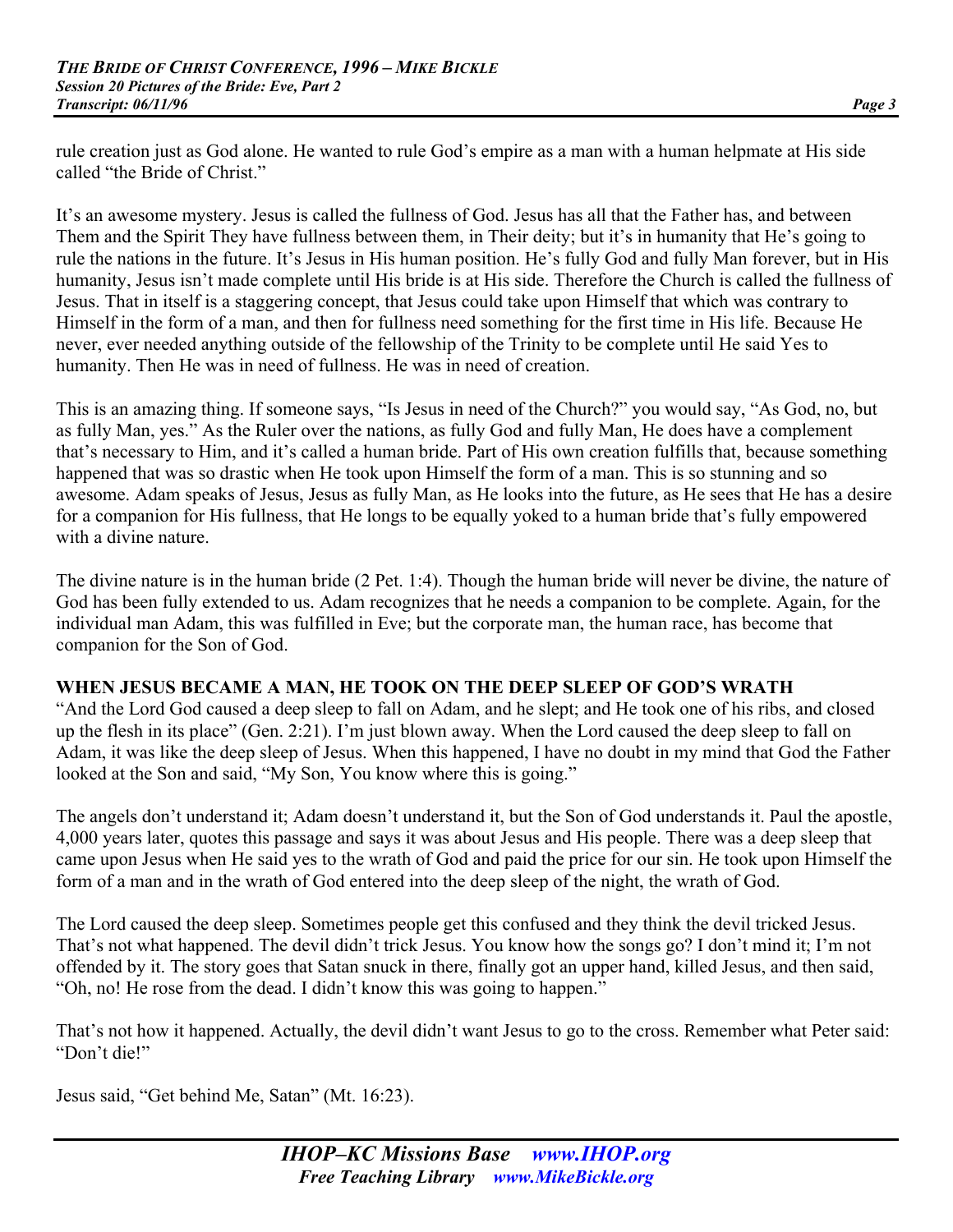rule creation just as God alone. He wanted to rule God's empire as a man with a human helpmate at His side called "the Bride of Christ."

It's an awesome mystery. Jesus is called the fullness of God. Jesus has all that the Father has, and between Them and the Spirit They have fullness between them, in Their deity; but it's in humanity that He's going to rule the nations in the future. It's Jesus in His human position. He's fully God and fully Man forever, but in His humanity, Jesus isn't made complete until His bride is at His side. Therefore the Church is called the fullness of Jesus. That in itself is a staggering concept, that Jesus could take upon Himself that which was contrary to Himself in the form of a man, and then for fullness need something for the first time in His life. Because He never, ever needed anything outside of the fellowship of the Trinity to be complete until He said Yes to humanity. Then He was in need of fullness. He was in need of creation.

This is an amazing thing. If someone says, "Is Jesus in need of the Church?" you would say, "As God, no, but as fully Man, yes." As the Ruler over the nations, as fully God and fully Man, He does have a complement that's necessary to Him, and it's called a human bride. Part of His own creation fulfills that, because something happened that was so drastic when He took upon Himself the form of a man. This is so stunning and so awesome. Adam speaks of Jesus, Jesus as fully Man, as He looks into the future, as He sees that He has a desire for a companion for His fullness, that He longs to be equally yoked to a human bride that's fully empowered with a divine nature.

The divine nature is in the human bride (2 Pet. 1:4). Though the human bride will never be divine, the nature of God has been fully extended to us. Adam recognizes that he needs a companion to be complete. Again, for the individual man Adam, this was fulfilled in Eve; but the corporate man, the human race, has become that companion for the Son of God.

#### **WHEN JESUS BECAME A MAN, HE TOOK ON THE DEEP SLEEP OF GOD'S WRATH**

"And the Lord God caused a deep sleep to fall on Adam, and he slept; and He took one of his ribs, and closed up the flesh in its place" (Gen. 2:21). I'm just blown away. When the Lord caused the deep sleep to fall on Adam, it was like the deep sleep of Jesus. When this happened, I have no doubt in my mind that God the Father looked at the Son and said, "My Son, You know where this is going."

The angels don't understand it; Adam doesn't understand it, but the Son of God understands it. Paul the apostle, 4,000 years later, quotes this passage and says it was about Jesus and His people. There was a deep sleep that came upon Jesus when He said yes to the wrath of God and paid the price for our sin. He took upon Himself the form of a man and in the wrath of God entered into the deep sleep of the night, the wrath of God.

The Lord caused the deep sleep. Sometimes people get this confused and they think the devil tricked Jesus. That's not what happened. The devil didn't trick Jesus. You know how the songs go? I don't mind it; I'm not offended by it. The story goes that Satan snuck in there, finally got an upper hand, killed Jesus, and then said, "Oh, no! He rose from the dead. I didn't know this was going to happen."

That's not how it happened. Actually, the devil didn't want Jesus to go to the cross. Remember what Peter said: "Don't die!"

Jesus said, "Get behind Me, Satan" (Mt. 16:23).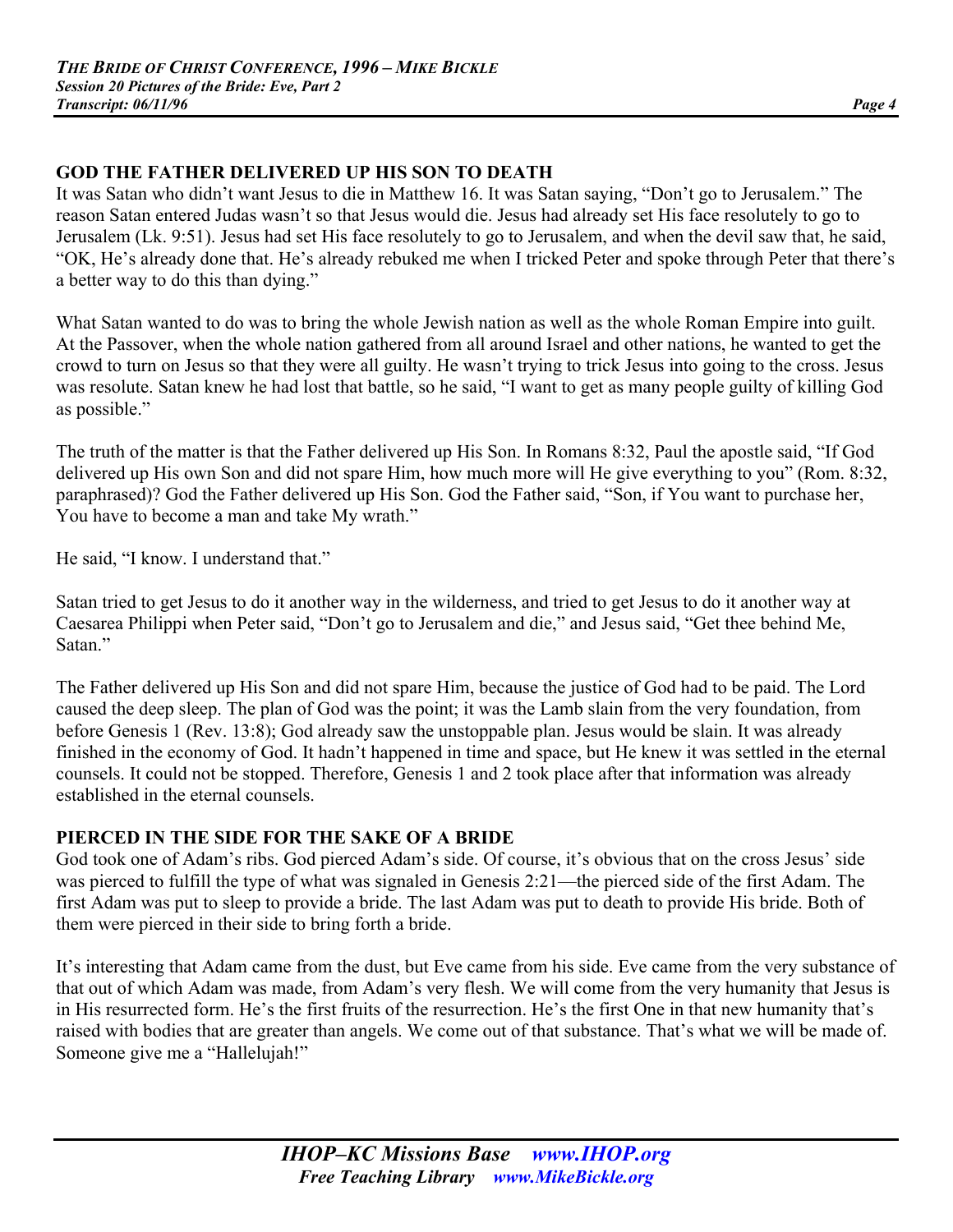## **GOD THE FATHER DELIVERED UP HIS SON TO DEATH**

It was Satan who didn't want Jesus to die in Matthew 16. It was Satan saying, "Don't go to Jerusalem." The reason Satan entered Judas wasn't so that Jesus would die. Jesus had already set His face resolutely to go to Jerusalem (Lk. 9:51). Jesus had set His face resolutely to go to Jerusalem, and when the devil saw that, he said, "OK, He's already done that. He's already rebuked me when I tricked Peter and spoke through Peter that there's a better way to do this than dying."

What Satan wanted to do was to bring the whole Jewish nation as well as the whole Roman Empire into guilt. At the Passover, when the whole nation gathered from all around Israel and other nations, he wanted to get the crowd to turn on Jesus so that they were all guilty. He wasn't trying to trick Jesus into going to the cross. Jesus was resolute. Satan knew he had lost that battle, so he said, "I want to get as many people guilty of killing God as possible."

The truth of the matter is that the Father delivered up His Son. In Romans 8:32, Paul the apostle said, "If God delivered up His own Son and did not spare Him, how much more will He give everything to you" (Rom. 8:32, paraphrased)? God the Father delivered up His Son. God the Father said, "Son, if You want to purchase her, You have to become a man and take My wrath."

He said, "I know. I understand that."

Satan tried to get Jesus to do it another way in the wilderness, and tried to get Jesus to do it another way at Caesarea Philippi when Peter said, "Don't go to Jerusalem and die," and Jesus said, "Get thee behind Me, Satan<sup>"</sup>

The Father delivered up His Son and did not spare Him, because the justice of God had to be paid. The Lord caused the deep sleep. The plan of God was the point; it was the Lamb slain from the very foundation, from before Genesis 1 (Rev. 13:8); God already saw the unstoppable plan. Jesus would be slain. It was already finished in the economy of God. It hadn't happened in time and space, but He knew it was settled in the eternal counsels. It could not be stopped. Therefore, Genesis 1 and 2 took place after that information was already established in the eternal counsels.

## **PIERCED IN THE SIDE FOR THE SAKE OF A BRIDE**

God took one of Adam's ribs. God pierced Adam's side. Of course, it's obvious that on the cross Jesus' side was pierced to fulfill the type of what was signaled in Genesis 2:21—the pierced side of the first Adam. The first Adam was put to sleep to provide a bride. The last Adam was put to death to provide His bride. Both of them were pierced in their side to bring forth a bride.

It's interesting that Adam came from the dust, but Eve came from his side. Eve came from the very substance of that out of which Adam was made, from Adam's very flesh. We will come from the very humanity that Jesus is in His resurrected form. He's the first fruits of the resurrection. He's the first One in that new humanity that's raised with bodies that are greater than angels. We come out of that substance. That's what we will be made of. Someone give me a "Hallelujah!"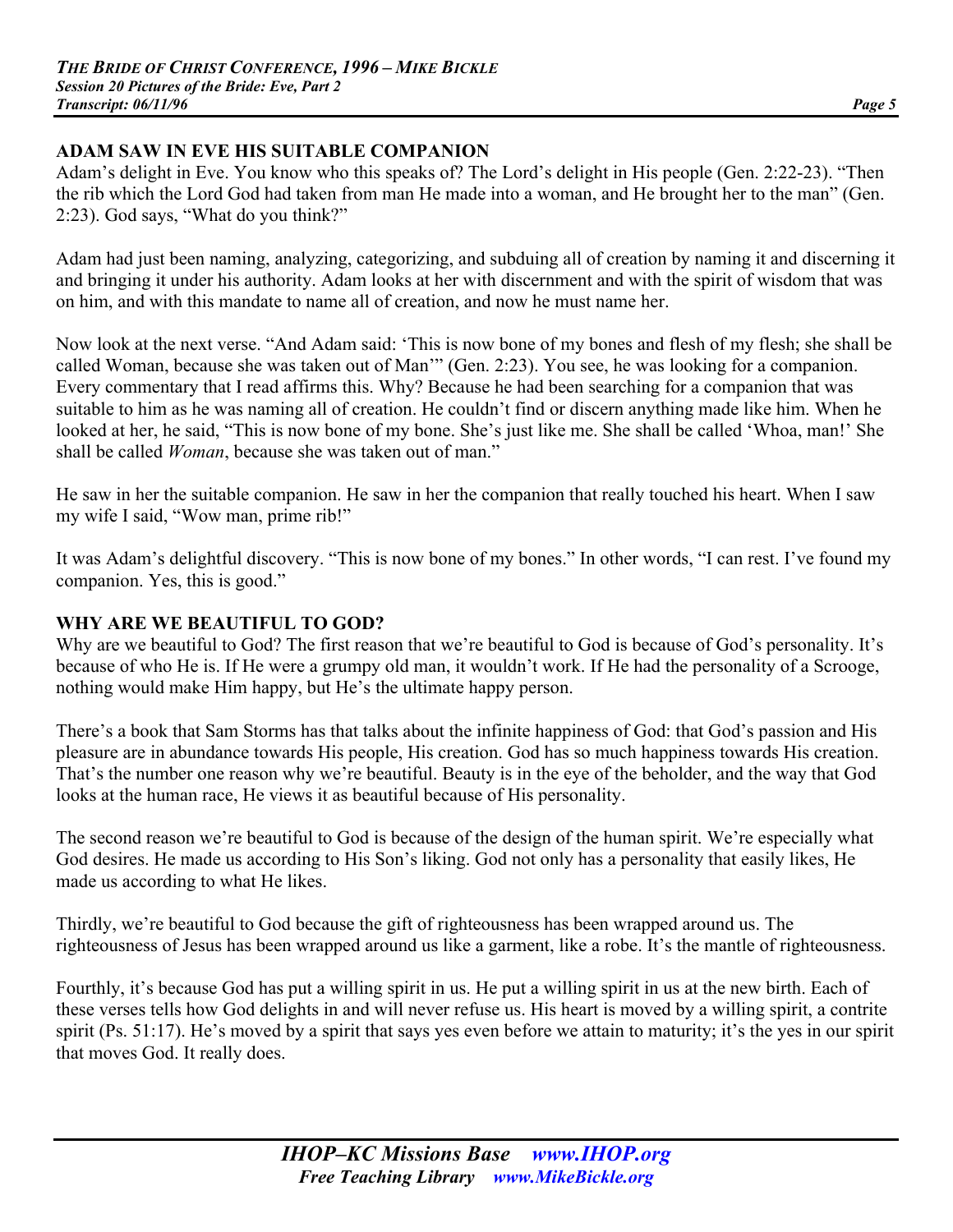#### **ADAM SAW IN EVE HIS SUITABLE COMPANION**

Adam's delight in Eve. You know who this speaks of? The Lord's delight in His people (Gen. 2:22-23). "Then the rib which the Lord God had taken from man He made into a woman, and He brought her to the man" (Gen. 2:23). God says, "What do you think?"

Adam had just been naming, analyzing, categorizing, and subduing all of creation by naming it and discerning it and bringing it under his authority. Adam looks at her with discernment and with the spirit of wisdom that was on him, and with this mandate to name all of creation, and now he must name her.

Now look at the next verse. "And Adam said: 'This is now bone of my bones and flesh of my flesh; she shall be called Woman, because she was taken out of Man'" (Gen. 2:23). You see, he was looking for a companion. Every commentary that I read affirms this. Why? Because he had been searching for a companion that was suitable to him as he was naming all of creation. He couldn't find or discern anything made like him. When he looked at her, he said, "This is now bone of my bone. She's just like me. She shall be called 'Whoa, man!' She shall be called *Woman*, because she was taken out of man."

He saw in her the suitable companion. He saw in her the companion that really touched his heart. When I saw my wife I said, "Wow man, prime rib!"

It was Adam's delightful discovery. "This is now bone of my bones." In other words, "I can rest. I've found my companion. Yes, this is good."

#### **WHY ARE WE BEAUTIFUL TO GOD?**

Why are we beautiful to God? The first reason that we're beautiful to God is because of God's personality. It's because of who He is. If He were a grumpy old man, it wouldn't work. If He had the personality of a Scrooge, nothing would make Him happy, but He's the ultimate happy person.

There's a book that Sam Storms has that talks about the infinite happiness of God: that God's passion and His pleasure are in abundance towards His people, His creation. God has so much happiness towards His creation. That's the number one reason why we're beautiful. Beauty is in the eye of the beholder, and the way that God looks at the human race, He views it as beautiful because of His personality.

The second reason we're beautiful to God is because of the design of the human spirit. We're especially what God desires. He made us according to His Son's liking. God not only has a personality that easily likes, He made us according to what He likes.

Thirdly, we're beautiful to God because the gift of righteousness has been wrapped around us. The righteousness of Jesus has been wrapped around us like a garment, like a robe. It's the mantle of righteousness.

Fourthly, it's because God has put a willing spirit in us. He put a willing spirit in us at the new birth. Each of these verses tells how God delights in and will never refuse us. His heart is moved by a willing spirit, a contrite spirit (Ps. 51:17). He's moved by a spirit that says yes even before we attain to maturity; it's the yes in our spirit that moves God. It really does.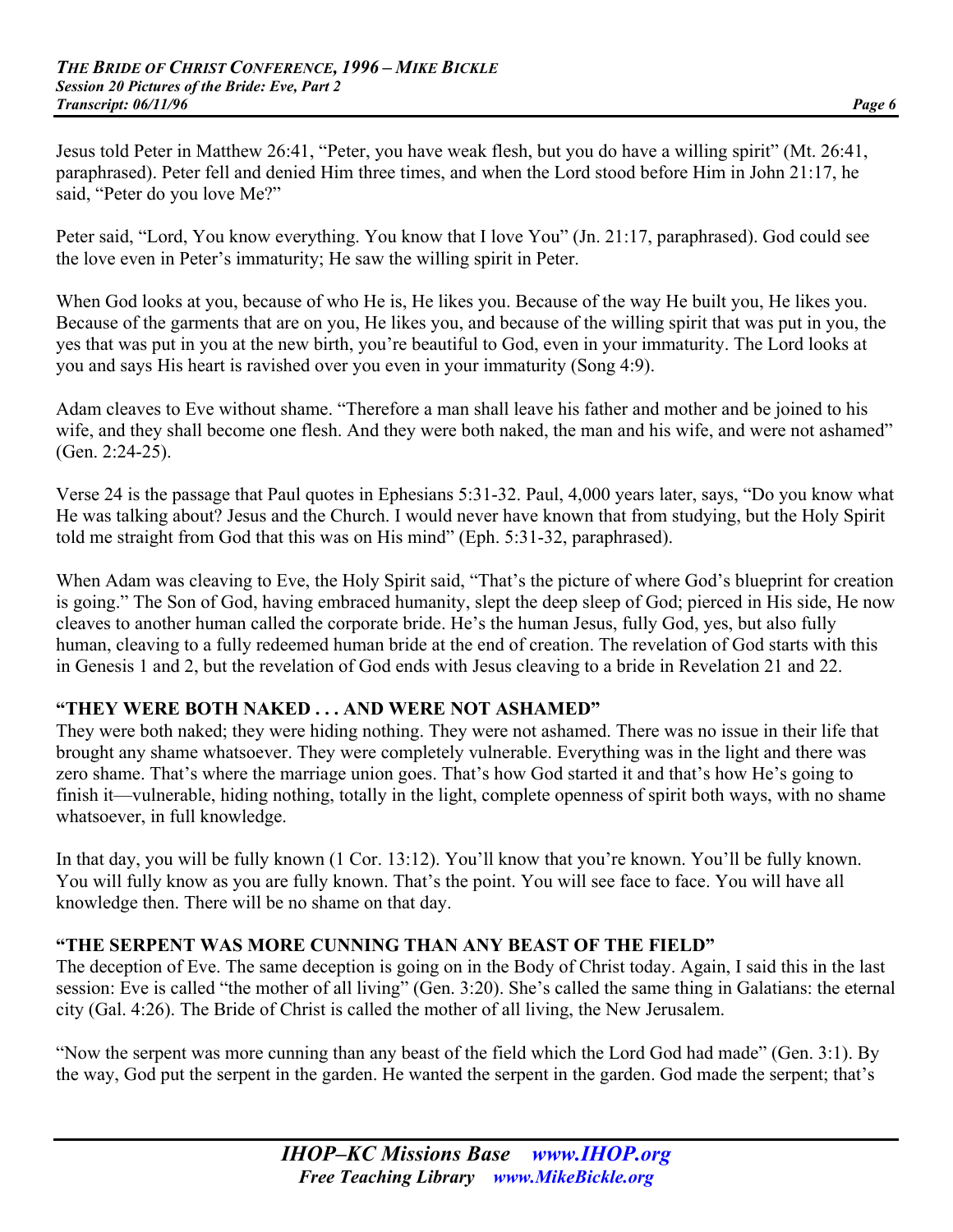Jesus told Peter in Matthew 26:41, "Peter, you have weak flesh, but you do have a willing spirit" (Mt. 26:41, paraphrased). Peter fell and denied Him three times, and when the Lord stood before Him in John 21:17, he said, "Peter do you love Me?"

Peter said, "Lord, You know everything. You know that I love You" (Jn. 21:17, paraphrased). God could see the love even in Peter's immaturity; He saw the willing spirit in Peter.

When God looks at you, because of who He is, He likes you. Because of the way He built you, He likes you. Because of the garments that are on you, He likes you, and because of the willing spirit that was put in you, the yes that was put in you at the new birth, you're beautiful to God, even in your immaturity. The Lord looks at you and says His heart is ravished over you even in your immaturity (Song 4:9).

Adam cleaves to Eve without shame. "Therefore a man shall leave his father and mother and be joined to his wife, and they shall become one flesh. And they were both naked, the man and his wife, and were not ashamed" (Gen. 2:24-25).

Verse 24 is the passage that Paul quotes in Ephesians 5:31-32. Paul, 4,000 years later, says, "Do you know what He was talking about? Jesus and the Church. I would never have known that from studying, but the Holy Spirit told me straight from God that this was on His mind" (Eph. 5:31-32, paraphrased).

When Adam was cleaving to Eve, the Holy Spirit said, "That's the picture of where God's blueprint for creation is going." The Son of God, having embraced humanity, slept the deep sleep of God; pierced in His side, He now cleaves to another human called the corporate bride. He's the human Jesus, fully God, yes, but also fully human, cleaving to a fully redeemed human bride at the end of creation. The revelation of God starts with this in Genesis 1 and 2, but the revelation of God ends with Jesus cleaving to a bride in Revelation 21 and 22.

#### **"THEY WERE BOTH NAKED . . . AND WERE NOT ASHAMED"**

They were both naked; they were hiding nothing. They were not ashamed. There was no issue in their life that brought any shame whatsoever. They were completely vulnerable. Everything was in the light and there was zero shame. That's where the marriage union goes. That's how God started it and that's how He's going to finish it—vulnerable, hiding nothing, totally in the light, complete openness of spirit both ways, with no shame whatsoever, in full knowledge.

In that day, you will be fully known (1 Cor. 13:12). You'll know that you're known. You'll be fully known. You will fully know as you are fully known. That's the point. You will see face to face. You will have all knowledge then. There will be no shame on that day.

## **"THE SERPENT WAS MORE CUNNING THAN ANY BEAST OF THE FIELD"**

The deception of Eve. The same deception is going on in the Body of Christ today. Again, I said this in the last session: Eve is called "the mother of all living" (Gen. 3:20). She's called the same thing in Galatians: the eternal city (Gal. 4:26). The Bride of Christ is called the mother of all living, the New Jerusalem.

"Now the serpent was more cunning than any beast of the field which the Lord God had made" (Gen. 3:1). By the way, God put the serpent in the garden. He wanted the serpent in the garden. God made the serpent; that's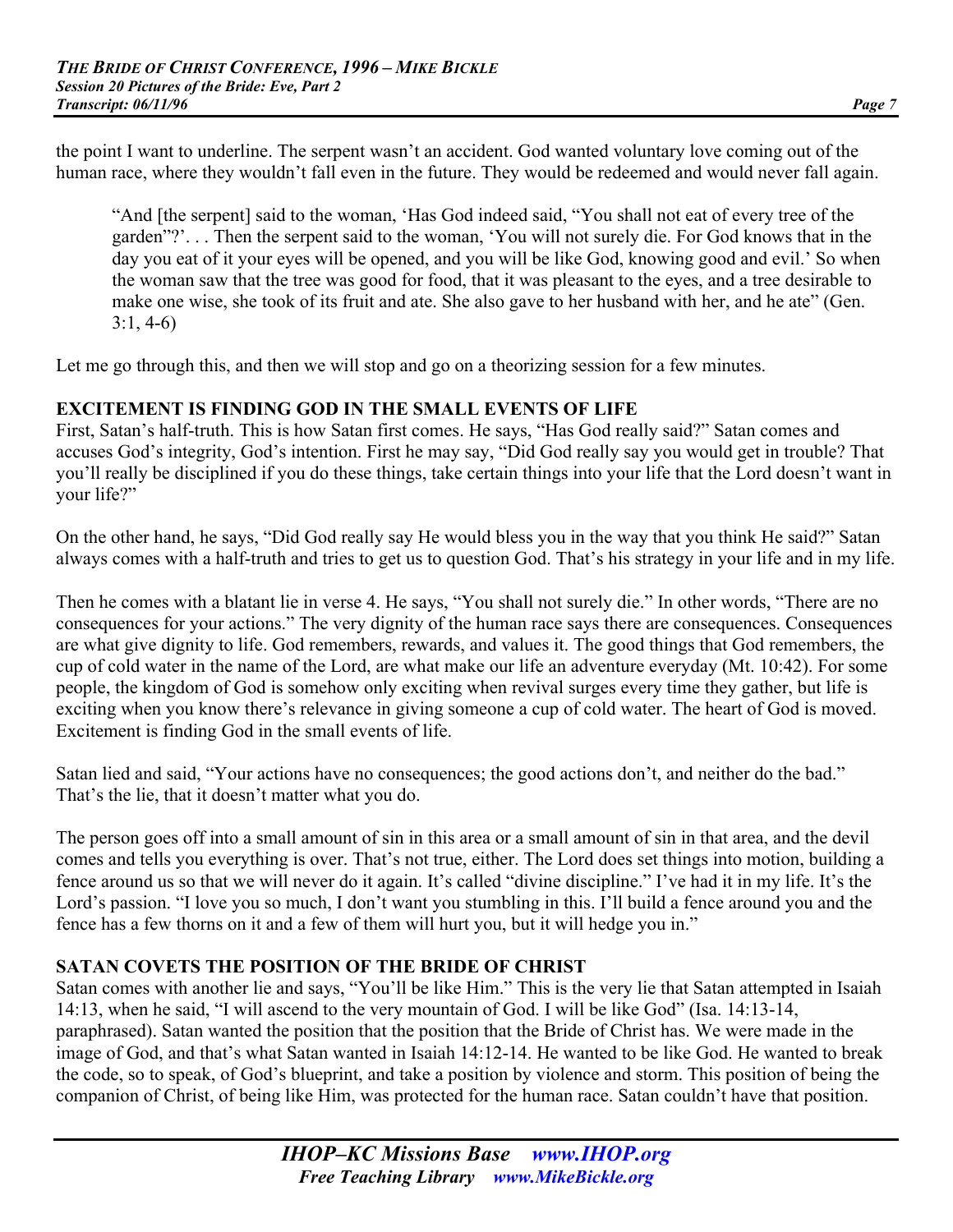the point I want to underline. The serpent wasn't an accident. God wanted voluntary love coming out of the human race, where they wouldn't fall even in the future. They would be redeemed and would never fall again.

"And [the serpent] said to the woman, 'Has God indeed said, "You shall not eat of every tree of the garden"?'. . . Then the serpent said to the woman, 'You will not surely die. For God knows that in the day you eat of it your eyes will be opened, and you will be like God, knowing good and evil.' So when the woman saw that the tree was good for food, that it was pleasant to the eyes, and a tree desirable to make one wise, she took of its fruit and ate. She also gave to her husband with her, and he ate" (Gen. 3:1, 4-6)

Let me go through this, and then we will stop and go on a theorizing session for a few minutes.

#### **EXCITEMENT IS FINDING GOD IN THE SMALL EVENTS OF LIFE**

First, Satan's half-truth. This is how Satan first comes. He says, "Has God really said?" Satan comes and accuses God's integrity, God's intention. First he may say, "Did God really say you would get in trouble? That you'll really be disciplined if you do these things, take certain things into your life that the Lord doesn't want in your life?"

On the other hand, he says, "Did God really say He would bless you in the way that you think He said?" Satan always comes with a half-truth and tries to get us to question God. That's his strategy in your life and in my life.

Then he comes with a blatant lie in verse 4. He says, "You shall not surely die." In other words, "There are no consequences for your actions." The very dignity of the human race says there are consequences. Consequences are what give dignity to life. God remembers, rewards, and values it. The good things that God remembers, the cup of cold water in the name of the Lord, are what make our life an adventure everyday (Mt. 10:42). For some people, the kingdom of God is somehow only exciting when revival surges every time they gather, but life is exciting when you know there's relevance in giving someone a cup of cold water. The heart of God is moved. Excitement is finding God in the small events of life.

Satan lied and said, "Your actions have no consequences; the good actions don't, and neither do the bad." That's the lie, that it doesn't matter what you do.

The person goes off into a small amount of sin in this area or a small amount of sin in that area, and the devil comes and tells you everything is over. That's not true, either. The Lord does set things into motion, building a fence around us so that we will never do it again. It's called "divine discipline." I've had it in my life. It's the Lord's passion. "I love you so much, I don't want you stumbling in this. I'll build a fence around you and the fence has a few thorns on it and a few of them will hurt you, but it will hedge you in."

#### **SATAN COVETS THE POSITION OF THE BRIDE OF CHRIST**

Satan comes with another lie and says, "You'll be like Him." This is the very lie that Satan attempted in Isaiah 14:13, when he said, "I will ascend to the very mountain of God. I will be like God" (Isa. 14:13-14, paraphrased). Satan wanted the position that the position that the Bride of Christ has. We were made in the image of God, and that's what Satan wanted in Isaiah 14:12-14. He wanted to be like God. He wanted to break the code, so to speak, of God's blueprint, and take a position by violence and storm. This position of being the companion of Christ, of being like Him, was protected for the human race. Satan couldn't have that position.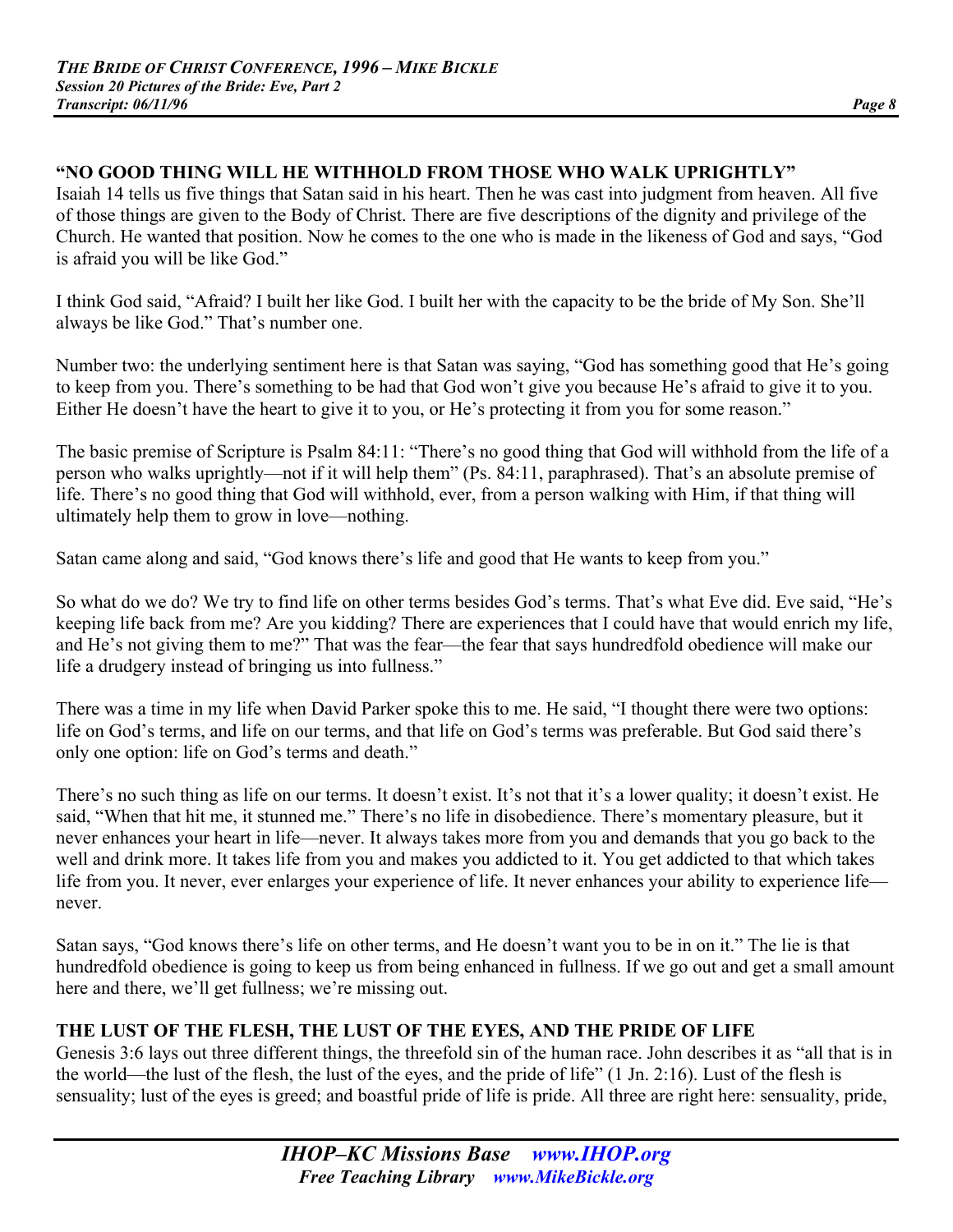## **"NO GOOD THING WILL HE WITHHOLD FROM THOSE WHO WALK UPRIGHTLY"**

Isaiah 14 tells us five things that Satan said in his heart. Then he was cast into judgment from heaven. All five of those things are given to the Body of Christ. There are five descriptions of the dignity and privilege of the Church. He wanted that position. Now he comes to the one who is made in the likeness of God and says, "God is afraid you will be like God."

I think God said, "Afraid? I built her like God. I built her with the capacity to be the bride of My Son. She'll always be like God." That's number one.

Number two: the underlying sentiment here is that Satan was saying, "God has something good that He's going to keep from you. There's something to be had that God won't give you because He's afraid to give it to you. Either He doesn't have the heart to give it to you, or He's protecting it from you for some reason."

The basic premise of Scripture is Psalm 84:11: "There's no good thing that God will withhold from the life of a person who walks uprightly—not if it will help them" (Ps. 84:11, paraphrased). That's an absolute premise of life. There's no good thing that God will withhold, ever, from a person walking with Him, if that thing will ultimately help them to grow in love—nothing.

Satan came along and said, "God knows there's life and good that He wants to keep from you."

So what do we do? We try to find life on other terms besides God's terms. That's what Eve did. Eve said, "He's keeping life back from me? Are you kidding? There are experiences that I could have that would enrich my life, and He's not giving them to me?" That was the fear—the fear that says hundredfold obedience will make our life a drudgery instead of bringing us into fullness."

There was a time in my life when David Parker spoke this to me. He said, "I thought there were two options: life on God's terms, and life on our terms, and that life on God's terms was preferable. But God said there's only one option: life on God's terms and death."

There's no such thing as life on our terms. It doesn't exist. It's not that it's a lower quality; it doesn't exist. He said, "When that hit me, it stunned me." There's no life in disobedience. There's momentary pleasure, but it never enhances your heart in life—never. It always takes more from you and demands that you go back to the well and drink more. It takes life from you and makes you addicted to it. You get addicted to that which takes life from you. It never, ever enlarges your experience of life. It never enhances your ability to experience life never.

Satan says, "God knows there's life on other terms, and He doesn't want you to be in on it." The lie is that hundredfold obedience is going to keep us from being enhanced in fullness. If we go out and get a small amount here and there, we'll get fullness; we're missing out.

# **THE LUST OF THE FLESH, THE LUST OF THE EYES, AND THE PRIDE OF LIFE**

Genesis 3:6 lays out three different things, the threefold sin of the human race. John describes it as "all that is in the world—the lust of the flesh, the lust of the eyes, and the pride of life" (1 Jn. 2:16). Lust of the flesh is sensuality; lust of the eyes is greed; and boastful pride of life is pride. All three are right here: sensuality, pride,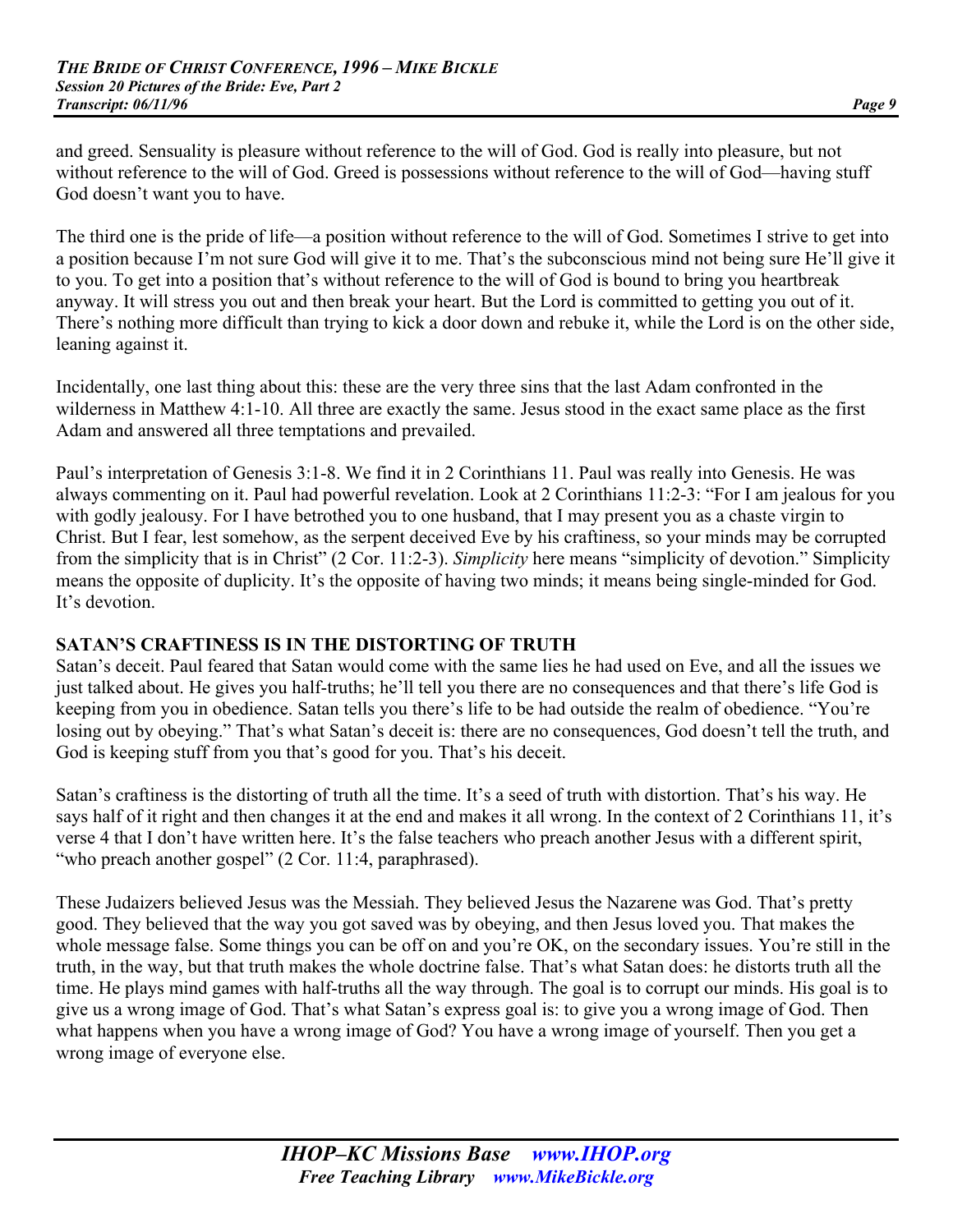and greed. Sensuality is pleasure without reference to the will of God. God is really into pleasure, but not without reference to the will of God. Greed is possessions without reference to the will of God—having stuff God doesn't want you to have.

The third one is the pride of life—a position without reference to the will of God. Sometimes I strive to get into a position because I'm not sure God will give it to me. That's the subconscious mind not being sure He'll give it to you. To get into a position that's without reference to the will of God is bound to bring you heartbreak anyway. It will stress you out and then break your heart. But the Lord is committed to getting you out of it. There's nothing more difficult than trying to kick a door down and rebuke it, while the Lord is on the other side, leaning against it.

Incidentally, one last thing about this: these are the very three sins that the last Adam confronted in the wilderness in Matthew 4:1-10. All three are exactly the same. Jesus stood in the exact same place as the first Adam and answered all three temptations and prevailed.

Paul's interpretation of Genesis 3:1-8. We find it in 2 Corinthians 11. Paul was really into Genesis. He was always commenting on it. Paul had powerful revelation. Look at 2 Corinthians 11:2-3: "For I am jealous for you with godly jealousy. For I have betrothed you to one husband, that I may present you as a chaste virgin to Christ. But I fear, lest somehow, as the serpent deceived Eve by his craftiness, so your minds may be corrupted from the simplicity that is in Christ" (2 Cor. 11:2-3). *Simplicity* here means "simplicity of devotion." Simplicity means the opposite of duplicity. It's the opposite of having two minds; it means being single-minded for God. It's devotion

## **SATAN'S CRAFTINESS IS IN THE DISTORTING OF TRUTH**

Satan's deceit. Paul feared that Satan would come with the same lies he had used on Eve, and all the issues we just talked about. He gives you half-truths; he'll tell you there are no consequences and that there's life God is keeping from you in obedience. Satan tells you there's life to be had outside the realm of obedience. "You're losing out by obeying." That's what Satan's deceit is: there are no consequences, God doesn't tell the truth, and God is keeping stuff from you that's good for you. That's his deceit.

Satan's craftiness is the distorting of truth all the time. It's a seed of truth with distortion. That's his way. He says half of it right and then changes it at the end and makes it all wrong. In the context of 2 Corinthians 11, it's verse 4 that I don't have written here. It's the false teachers who preach another Jesus with a different spirit, "who preach another gospel" (2 Cor. 11:4, paraphrased).

These Judaizers believed Jesus was the Messiah. They believed Jesus the Nazarene was God. That's pretty good. They believed that the way you got saved was by obeying, and then Jesus loved you. That makes the whole message false. Some things you can be off on and you're OK, on the secondary issues. You're still in the truth, in the way, but that truth makes the whole doctrine false. That's what Satan does: he distorts truth all the time. He plays mind games with half-truths all the way through. The goal is to corrupt our minds. His goal is to give us a wrong image of God. That's what Satan's express goal is: to give you a wrong image of God. Then what happens when you have a wrong image of God? You have a wrong image of yourself. Then you get a wrong image of everyone else.